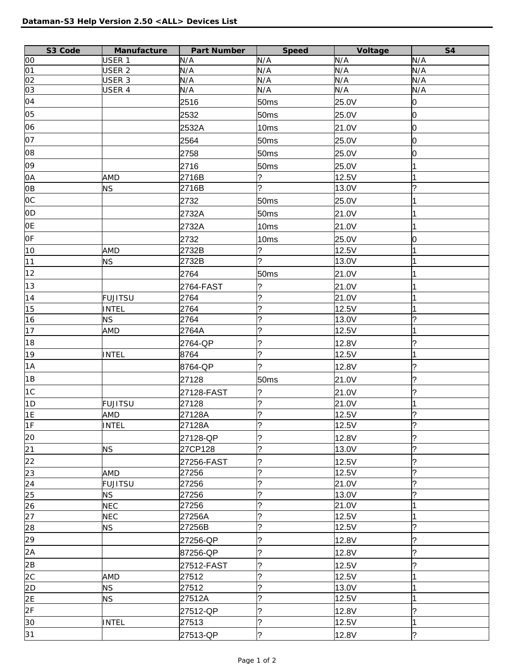| S3 Code        | Manufacture       | Part Number     | Speed                    | Voltage        | <b>S4</b>      |
|----------------|-------------------|-----------------|--------------------------|----------------|----------------|
| 00             | USER 1            | N/A             | N/A                      | N/A            | N/A            |
| 01             | USER <sub>2</sub> | N/A             | N/A                      | N/A            | N/A            |
| 02             | USER 3            | N/A             | N/A                      | N/A            | N/A            |
| 03             | USER 4            | N/A             | N/A                      | N/A            | N/A            |
| 04             |                   | 2516            | 50ms                     | 25.0V          | 0              |
| 05             |                   | 2532            | 50ms                     | 25.0V          | $\overline{0}$ |
| 06             |                   | 2532A           | 10ms                     | 21.0V          | 0              |
| 07             |                   | 2564            | 50ms                     | 25.0V          | 0              |
| 08             |                   | 2758            | 50 <sub>ms</sub>         | 25.0V          | 0              |
| 09             |                   | 2716            | 50 <sub>ms</sub>         | 25.0V          |                |
| 0A             | <b>AMD</b>        | 2716B           | ?                        | 12.5V          | 1              |
| 0B             | <b>NS</b>         | 2716B           | $\overline{\mathcal{C}}$ | 13.0V          | $\overline{?}$ |
| <b>OC</b>      |                   | 2732            | 50 <sub>ms</sub>         | 25.0V          | 1              |
| 0 <sub>D</sub> |                   | 2732A           | 50 <sub>ms</sub>         | 21.0V          | 1              |
| <b>OE</b>      |                   | 2732A           | 10ms                     | 21.0V          | 1              |
| OF             |                   | 2732            | 10ms                     | 25.0V          | 0              |
| 10             | AMD               | 2732B           | ?                        | 12.5V          | $\overline{1}$ |
| 11             | <b>NS</b>         | 2732B           | $\overline{\mathcal{C}}$ | 13.0V          | 1              |
| 12             |                   | 2764            | 50 <sub>ms</sub>         | 21.0V          |                |
| 13             |                   | 2764-FAST       | ?                        | 21.0V          |                |
| 14             | <b>FUJITSU</b>    | 2764            | ?                        | 21.0V          |                |
| 15             | <b>INTEL</b>      | 2764            | <sup>.</sup>             | 12.5V          | $\overline{1}$ |
| 16             | <b>NS</b>         | 2764            | ?                        | 13.0V          | $\overline{?}$ |
| 17             | AMD               | 2764A           | <sup>2</sup>             | 12.5V          | $\overline{1}$ |
| 18             |                   |                 | ?                        |                | ?              |
|                |                   | 2764-QP<br>8764 | $\overline{\mathcal{C}}$ | 12.8V<br>12.5V | 1              |
| 19<br>1A       | <b>INTEL</b>      |                 | ?                        |                |                |
|                |                   | 8764-QP         |                          | 12.8V          | ?              |
| 1B             |                   | 27128           | 50 <sub>ms</sub>         | 21.0V          | ?              |
| 1C             |                   | 27128-FAST      | ?                        | 21.0V          | ?              |
| 1D             | <b>FUJITSU</b>    | 27128           | ?                        | 21.0V          | 1              |
| 1E             | AMD               | 27128A          | $\overline{\mathcal{C}}$ | 12.5V          | $\overline{?}$ |
| 1F             | <b>INTEL</b>      | 27128A          | ?                        | 12.5V          | ?              |
| 20             |                   | 27128-QP        | ?                        | 12.8V          | ?              |
| 21             | <b>NS</b>         | 27CP128         | $\overline{\mathcal{C}}$ | 13.0V          | $\overline{?}$ |
| 22             |                   | 27256-FAST      | ?                        | 12.5V          | ?              |
| 23             | AMD               | 27256           | ?                        | 12.5V          | ?              |
| 24             | <b>FUJITSU</b>    | 27256           | ?                        | 21.0V          | ?              |
| 25             | <b>NS</b>         | 27256           | ?                        | 13.0V          | ?              |
| 26             | <b>NEC</b>        | 27256           | ?                        | 21.0V          | 1              |
| 27             | <b>NEC</b>        | 27256A          | ?                        | 12.5V          | 1              |
| 28             | <b>NS</b>         | 27256B          | ŗ                        | 12.5V          | ?              |
| 29             |                   | 27256-QP        | ?                        | 12.8V          | ?              |
| 2A             |                   | 87256-QP        | ?                        | 12.8V          | ?              |
| 2B             |                   | 27512-FAST      | ?                        | 12.5V          | ?              |
| 2C             | <b>AMD</b>        | 27512           | ?                        | 12.5V          | 1              |
| 2D             | <b>NS</b>         | 27512           | ?                        | 13.0V          | 1              |
| 2E             | <b>NS</b>         | 27512A          | ?                        | 12.5V          |                |
| 2F             |                   | 27512-QP        | ?                        | 12.8V          | ?              |
| 30             | <b>INTEL</b>      | 27513           | ?                        | 12.5V          | $\overline{1}$ |
| 31             |                   | 27513-QP        | $\overline{\cdot}$       | 12.8V          | $\overline{?}$ |